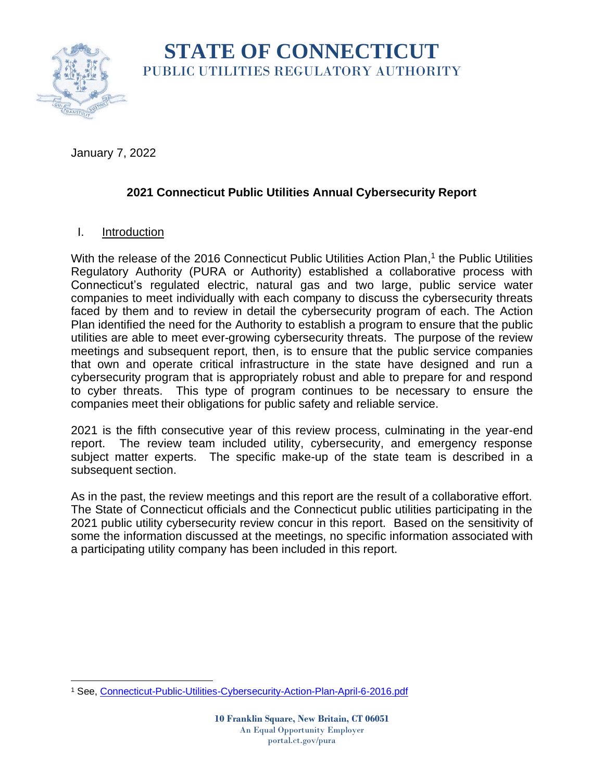

# **STATE OF CONNECTICUT** PUBLIC UTILITIES REGULATORY AUTHORITY

January 7, 2022

# **2021 Connecticut Public Utilities Annual Cybersecurity Report**

## I. Introduction

With the release of the 2016 Connecticut Public Utilities Action Plan,<sup>1</sup> the Public Utilities Regulatory Authority (PURA or Authority) established a collaborative process with Connecticut's regulated electric, natural gas and two large, public service water companies to meet individually with each company to discuss the cybersecurity threats faced by them and to review in detail the cybersecurity program of each. The Action Plan identified the need for the Authority to establish a program to ensure that the public utilities are able to meet ever-growing cybersecurity threats. The purpose of the review meetings and subsequent report, then, is to ensure that the public service companies that own and operate critical infrastructure in the state have designed and run a cybersecurity program that is appropriately robust and able to prepare for and respond to cyber threats. This type of program continues to be necessary to ensure the companies meet their obligations for public safety and reliable service.

2021 is the fifth consecutive year of this review process, culminating in the year-end report. The review team included utility, cybersecurity, and emergency response subject matter experts. The specific make-up of the state team is described in a subsequent section.

As in the past, the review meetings and this report are the result of a collaborative effort. The State of Connecticut officials and the Connecticut public utilities participating in the 2021 public utility cybersecurity review concur in this report. Based on the sensitivity of some the information discussed at the meetings, no specific information associated with a participating utility company has been included in this report.

<sup>&</sup>lt;sup>1</sup> See, [Connecticut-Public-Utilities-Cybersecurity-Action-Plan-April-6-2016.pdf](https://portal.ct.gov/-/media/DAS/BEST/Security-Services/Connecticut-Public-Utilities-Cybersecurity-Action-Plan-April-6-2016.pdf?la=en&hash=F56F0A9CA2B0FDDDA081E2B7113666D7)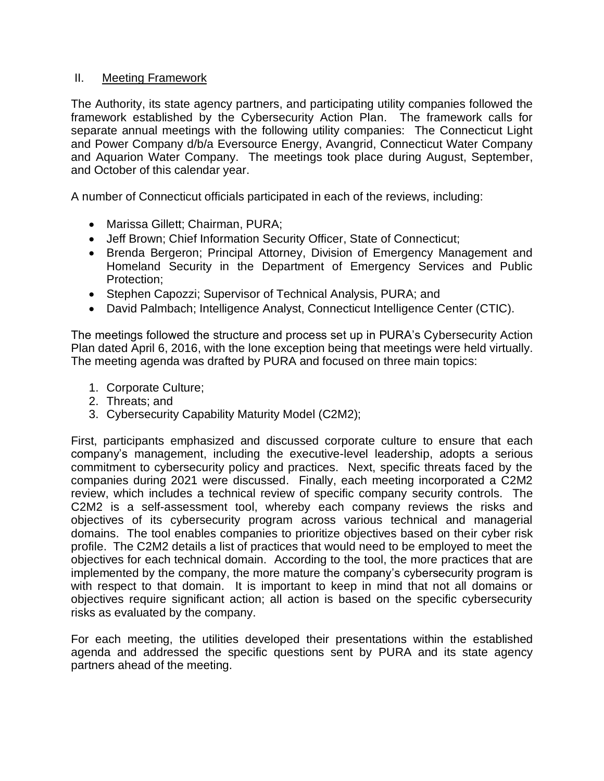#### II. Meeting Framework

The Authority, its state agency partners, and participating utility companies followed the framework established by the Cybersecurity Action Plan. The framework calls for separate annual meetings with the following utility companies: The Connecticut Light and Power Company d/b/a Eversource Energy, Avangrid, Connecticut Water Company and Aquarion Water Company. The meetings took place during August, September, and October of this calendar year.

A number of Connecticut officials participated in each of the reviews, including:

- Marissa Gillett; Chairman, PURA;
- Jeff Brown; Chief Information Security Officer, State of Connecticut;
- Brenda Bergeron; Principal Attorney, Division of Emergency Management and Homeland Security in the Department of Emergency Services and Public Protection;
- Stephen Capozzi; Supervisor of Technical Analysis, PURA; and
- David Palmbach; Intelligence Analyst, Connecticut Intelligence Center (CTIC).

The meetings followed the structure and process set up in PURA's Cybersecurity Action Plan dated April 6, 2016, with the lone exception being that meetings were held virtually. The meeting agenda was drafted by PURA and focused on three main topics:

- 1. Corporate Culture;
- 2. Threats; and
- 3. Cybersecurity Capability Maturity Model (C2M2);

First, participants emphasized and discussed corporate culture to ensure that each company's management, including the executive-level leadership, adopts a serious commitment to cybersecurity policy and practices. Next, specific threats faced by the companies during 2021 were discussed. Finally, each meeting incorporated a C2M2 review, which includes a technical review of specific company security controls. The C2M2 is a self-assessment tool, whereby each company reviews the risks and objectives of its cybersecurity program across various technical and managerial domains. The tool enables companies to prioritize objectives based on their cyber risk profile. The C2M2 details a list of practices that would need to be employed to meet the objectives for each technical domain. According to the tool, the more practices that are implemented by the company, the more mature the company's cybersecurity program is with respect to that domain. It is important to keep in mind that not all domains or objectives require significant action; all action is based on the specific cybersecurity risks as evaluated by the company.

For each meeting, the utilities developed their presentations within the established agenda and addressed the specific questions sent by PURA and its state agency partners ahead of the meeting.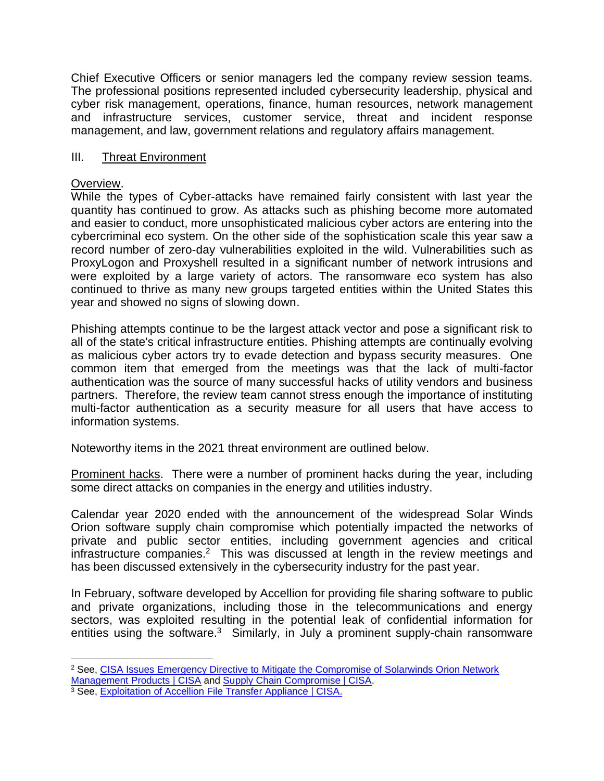Chief Executive Officers or senior managers led the company review session teams. The professional positions represented included cybersecurity leadership, physical and cyber risk management, operations, finance, human resources, network management and infrastructure services, customer service, threat and incident response management, and law, government relations and regulatory affairs management.

#### III. Threat Environment

#### Overview.

While the types of Cyber-attacks have remained fairly consistent with last year the quantity has continued to grow. As attacks such as phishing become more automated and easier to conduct, more unsophisticated malicious cyber actors are entering into the cybercriminal eco system. On the other side of the sophistication scale this year saw a record number of zero-day vulnerabilities exploited in the wild. Vulnerabilities such as ProxyLogon and Proxyshell resulted in a significant number of network intrusions and were exploited by a large variety of actors. The ransomware eco system has also continued to thrive as many new groups targeted entities within the United States this year and showed no signs of slowing down.

Phishing attempts continue to be the largest attack vector and pose a significant risk to all of the state's critical infrastructure entities. Phishing attempts are continually evolving as malicious cyber actors try to evade detection and bypass security measures. One common item that emerged from the meetings was that the lack of multi-factor authentication was the source of many successful hacks of utility vendors and business partners. Therefore, the review team cannot stress enough the importance of instituting multi-factor authentication as a security measure for all users that have access to information systems.

Noteworthy items in the 2021 threat environment are outlined below.

Prominent hacks. There were a number of prominent hacks during the year, including some direct attacks on companies in the energy and utilities industry.

Calendar year 2020 ended with the announcement of the widespread Solar Winds Orion software supply chain compromise which potentially impacted the networks of private and public sector entities, including government agencies and critical infrastructure companies.<sup>2</sup> This was discussed at length in the review meetings and has been discussed extensively in the cybersecurity industry for the past year.

In February, software developed by Accellion for providing file sharing software to public and private organizations, including those in the telecommunications and energy sectors, was exploited resulting in the potential leak of confidential information for entities using the software.<sup>3</sup> Similarly, in July a prominent supply-chain ransomware

<sup>&</sup>lt;sup>2</sup> See, CISA Issues Emergency Directive to Mitigate the Compromise of Solarwinds Orion Network

[Management Products | CISA](https://www.cisa.gov/news/2020/12/13/cisa-issues-emergency-directive-mitigate-compromise-solarwinds-orion-network) and [Supply Chain Compromise | CISA.](https://www.cisa.gov/supply-chain-compromise)

<sup>&</sup>lt;sup>3</sup> See, [Exploitation of Accellion File Transfer Appliance | CISA.](https://us-cert.cisa.gov/ncas/alerts/aa21-055a)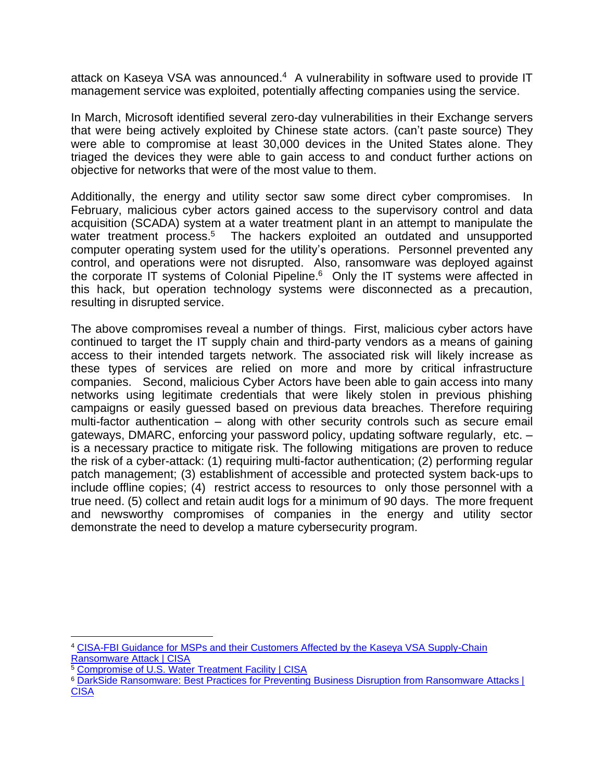attack on Kaseya VSA was announced.<sup>4</sup> A vulnerability in software used to provide IT management service was exploited, potentially affecting companies using the service.

In March, Microsoft identified several zero-day vulnerabilities in their Exchange servers that were being actively exploited by Chinese state actors. (can't paste source) They were able to compromise at least 30,000 devices in the United States alone. They triaged the devices they were able to gain access to and conduct further actions on objective for networks that were of the most value to them.

Additionally, the energy and utility sector saw some direct cyber compromises. In February, malicious cyber actors gained access to the supervisory control and data acquisition (SCADA) system at a water treatment plant in an attempt to manipulate the water treatment process.<sup>5</sup> The hackers exploited an outdated and unsupported computer operating system used for the utility's operations. Personnel prevented any control, and operations were not disrupted. Also, ransomware was deployed against the corporate IT systems of Colonial Pipeline.<sup>6</sup> Only the IT systems were affected in this hack, but operation technology systems were disconnected as a precaution, resulting in disrupted service.

The above compromises reveal a number of things. First, malicious cyber actors have continued to target the IT supply chain and third-party vendors as a means of gaining access to their intended targets network. The associated risk will likely increase as these types of services are relied on more and more by critical infrastructure companies. Second, malicious Cyber Actors have been able to gain access into many networks using legitimate credentials that were likely stolen in previous phishing campaigns or easily guessed based on previous data breaches. Therefore requiring multi-factor authentication – along with other security controls such as secure email gateways, DMARC, enforcing your password policy, updating software regularly, etc. – is a necessary practice to mitigate risk. The following mitigations are proven to reduce the risk of a cyber-attack: (1) requiring multi-factor authentication; (2) performing regular patch management; (3) establishment of accessible and protected system back-ups to include offline copies; (4) restrict access to resources to only those personnel with a true need. (5) collect and retain audit logs for a minimum of 90 days. The more frequent and newsworthy compromises of companies in the energy and utility sector demonstrate the need to develop a mature cybersecurity program.

<sup>4</sup> [CISA-FBI Guidance for MSPs and their Customers Affected by the Kaseya VSA Supply-Chain](https://us-cert.cisa.gov/ncas/current-activity/2021/07/04/cisa-fbi-guidance-msps-and-their-customers-affected-kaseya-vsa)  [Ransomware Attack | CISA](https://us-cert.cisa.gov/ncas/current-activity/2021/07/04/cisa-fbi-guidance-msps-and-their-customers-affected-kaseya-vsa)

<sup>&</sup>lt;sup>5</sup> [Compromise of U.S. Water Treatment Facility | CISA](https://us-cert.cisa.gov/ncas/alerts/aa21-042a)

<sup>6</sup> [DarkSide Ransomware: Best Practices for Preventing Business Disruption from Ransomware Attacks |](https://us-cert.cisa.gov/ncas/alerts/aa21-131a)  **[CISA](https://us-cert.cisa.gov/ncas/alerts/aa21-131a)**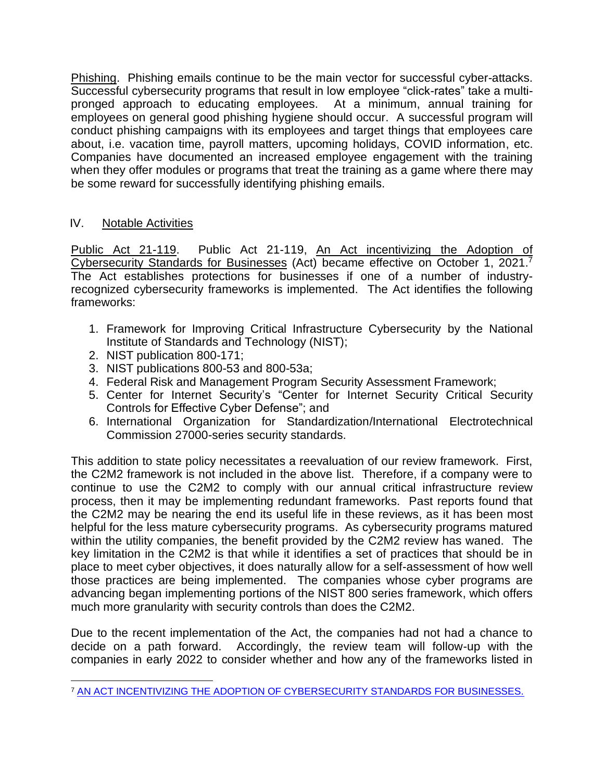Phishing. Phishing emails continue to be the main vector for successful cyber-attacks. Successful cybersecurity programs that result in low employee "click-rates" take a multipronged approach to educating employees. At a minimum, annual training for employees on general good phishing hygiene should occur. A successful program will conduct phishing campaigns with its employees and target things that employees care about, i.e. vacation time, payroll matters, upcoming holidays, COVID information, etc. Companies have documented an increased employee engagement with the training when they offer modules or programs that treat the training as a game where there may be some reward for successfully identifying phishing emails.

### IV. Notable Activities

Public Act 21-119. Public Act 21-119, An Act incentivizing the Adoption of Cybersecurity Standards for Businesses (Act) became effective on October 1, 2021.<sup>7</sup> The Act establishes protections for businesses if one of a number of industryrecognized cybersecurity frameworks is implemented. The Act identifies the following frameworks:

- 1. Framework for Improving Critical Infrastructure Cybersecurity by the National Institute of Standards and Technology (NIST);
- 2. NIST publication 800-171;
- 3. NIST publications 800-53 and 800-53a;
- 4. Federal Risk and Management Program Security Assessment Framework;
- 5. Center for Internet Security's "Center for Internet Security Critical Security Controls for Effective Cyber Defense"; and
- 6. International Organization for Standardization/International Electrotechnical Commission 27000-series security standards.

This addition to state policy necessitates a reevaluation of our review framework. First, the C2M2 framework is not included in the above list. Therefore, if a company were to continue to use the C2M2 to comply with our annual critical infrastructure review process, then it may be implementing redundant frameworks. Past reports found that the C2M2 may be nearing the end its useful life in these reviews, as it has been most helpful for the less mature cybersecurity programs. As cybersecurity programs matured within the utility companies, the benefit provided by the C2M2 review has waned. The key limitation in the C2M2 is that while it identifies a set of practices that should be in place to meet cyber objectives, it does naturally allow for a self-assessment of how well those practices are being implemented. The companies whose cyber programs are advancing began implementing portions of the NIST 800 series framework, which offers much more granularity with security controls than does the C2M2.

Due to the recent implementation of the Act, the companies had not had a chance to decide on a path forward. Accordingly, the review team will follow-up with the companies in early 2022 to consider whether and how any of the frameworks listed in

<sup>7</sup> [AN ACT INCENTIVIZING THE ADOPTION OF CYBERSECURITY STANDARDS FOR BUSINESSES.](https://www.cga.ct.gov/2021/ACT/PA/PDF/2021PA-00119-R00HB-06607-PA.PDF)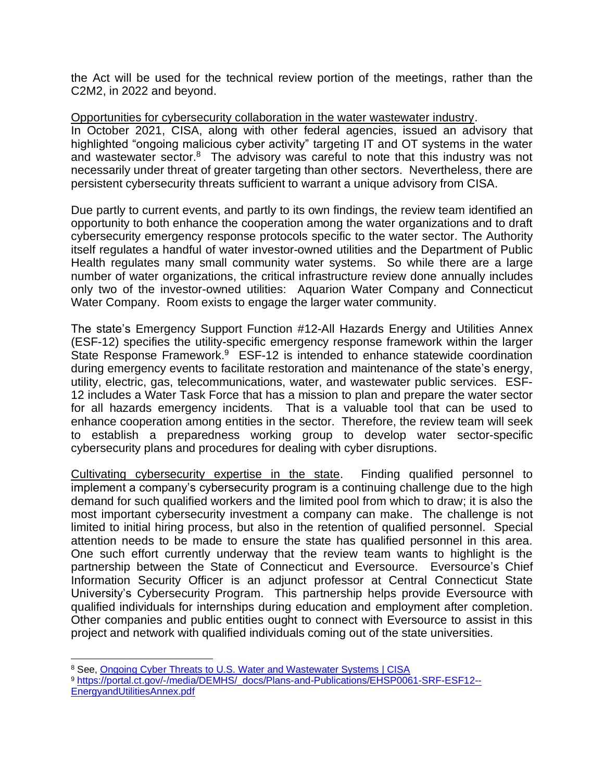the Act will be used for the technical review portion of the meetings, rather than the C2M2, in 2022 and beyond.

#### Opportunities for cybersecurity collaboration in the water wastewater industry.

In October 2021, CISA, along with other federal agencies, issued an advisory that highlighted "ongoing malicious cyber activity" targeting IT and OT systems in the water and wastewater sector.<sup>8</sup> The advisory was careful to note that this industry was not necessarily under threat of greater targeting than other sectors. Nevertheless, there are persistent cybersecurity threats sufficient to warrant a unique advisory from CISA.

Due partly to current events, and partly to its own findings, the review team identified an opportunity to both enhance the cooperation among the water organizations and to draft cybersecurity emergency response protocols specific to the water sector. The Authority itself regulates a handful of water investor-owned utilities and the Department of Public Health regulates many small community water systems. So while there are a large number of water organizations, the critical infrastructure review done annually includes only two of the investor-owned utilities: Aquarion Water Company and Connecticut Water Company. Room exists to engage the larger water community.

The state's Emergency Support Function #12-All Hazards Energy and Utilities Annex (ESF-12) specifies the utility-specific emergency response framework within the larger State Response Framework. $9$  ESF-12 is intended to enhance statewide coordination during emergency events to facilitate restoration and maintenance of the state's energy, utility, electric, gas, telecommunications, water, and wastewater public services. ESF-12 includes a Water Task Force that has a mission to plan and prepare the water sector for all hazards emergency incidents. That is a valuable tool that can be used to enhance cooperation among entities in the sector. Therefore, the review team will seek to establish a preparedness working group to develop water sector-specific cybersecurity plans and procedures for dealing with cyber disruptions.

Cultivating cybersecurity expertise in the state. Finding qualified personnel to implement a company's cybersecurity program is a continuing challenge due to the high demand for such qualified workers and the limited pool from which to draw; it is also the most important cybersecurity investment a company can make. The challenge is not limited to initial hiring process, but also in the retention of qualified personnel. Special attention needs to be made to ensure the state has qualified personnel in this area. One such effort currently underway that the review team wants to highlight is the partnership between the State of Connecticut and Eversource. Eversource's Chief Information Security Officer is an adjunct professor at Central Connecticut State University's Cybersecurity Program. This partnership helps provide Eversource with qualified individuals for internships during education and employment after completion. Other companies and public entities ought to connect with Eversource to assist in this project and network with qualified individuals coming out of the state universities.

<sup>&</sup>lt;sup>8</sup> See, [Ongoing Cyber Threats to U.S. Water and Wastewater Systems | CISA](https://us-cert.cisa.gov/ncas/alerts/aa21-287a)

<sup>9</sup> [https://portal.ct.gov/-/media/DEMHS/\\_docs/Plans-and-Publications/EHSP0061-SRF-ESF12--](https://portal.ct.gov/-/media/DEMHS/_docs/Plans-and-Publications/EHSP0061-SRF-ESF12--EnergyandUtilitiesAnnex.pdf) [EnergyandUtilitiesAnnex.pdf](https://portal.ct.gov/-/media/DEMHS/_docs/Plans-and-Publications/EHSP0061-SRF-ESF12--EnergyandUtilitiesAnnex.pdf)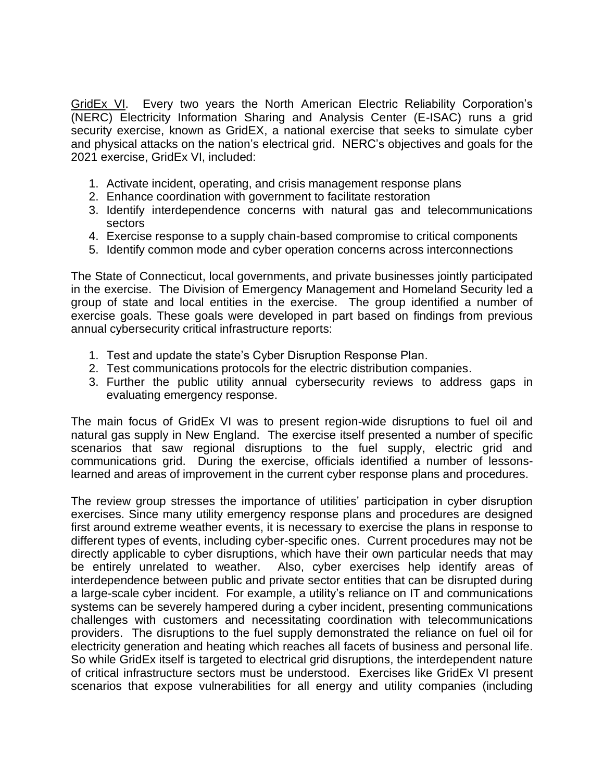GridEx VI. Every two years the North American Electric Reliability Corporation's (NERC) Electricity Information Sharing and Analysis Center (E-ISAC) runs a grid security exercise, known as GridEX, a national exercise that seeks to simulate cyber and physical attacks on the nation's electrical grid. NERC's objectives and goals for the 2021 exercise, GridEx VI, included:

- 1. Activate incident, operating, and crisis management response plans
- 2. Enhance coordination with government to facilitate restoration
- 3. Identify interdependence concerns with natural gas and telecommunications sectors
- 4. Exercise response to a supply chain-based compromise to critical components
- 5. Identify common mode and cyber operation concerns across interconnections

The State of Connecticut, local governments, and private businesses jointly participated in the exercise. The Division of Emergency Management and Homeland Security led a group of state and local entities in the exercise. The group identified a number of exercise goals. These goals were developed in part based on findings from previous annual cybersecurity critical infrastructure reports:

- 1. Test and update the state's Cyber Disruption Response Plan.
- 2. Test communications protocols for the electric distribution companies.
- 3. Further the public utility annual cybersecurity reviews to address gaps in evaluating emergency response.

The main focus of GridEx VI was to present region-wide disruptions to fuel oil and natural gas supply in New England. The exercise itself presented a number of specific scenarios that saw regional disruptions to the fuel supply, electric grid and communications grid. During the exercise, officials identified a number of lessonslearned and areas of improvement in the current cyber response plans and procedures.

The review group stresses the importance of utilities' participation in cyber disruption exercises. Since many utility emergency response plans and procedures are designed first around extreme weather events, it is necessary to exercise the plans in response to different types of events, including cyber-specific ones. Current procedures may not be directly applicable to cyber disruptions, which have their own particular needs that may be entirely unrelated to weather. Also, cyber exercises help identify areas of interdependence between public and private sector entities that can be disrupted during a large-scale cyber incident. For example, a utility's reliance on IT and communications systems can be severely hampered during a cyber incident, presenting communications challenges with customers and necessitating coordination with telecommunications providers. The disruptions to the fuel supply demonstrated the reliance on fuel oil for electricity generation and heating which reaches all facets of business and personal life. So while GridEx itself is targeted to electrical grid disruptions, the interdependent nature of critical infrastructure sectors must be understood. Exercises like GridEx VI present scenarios that expose vulnerabilities for all energy and utility companies (including